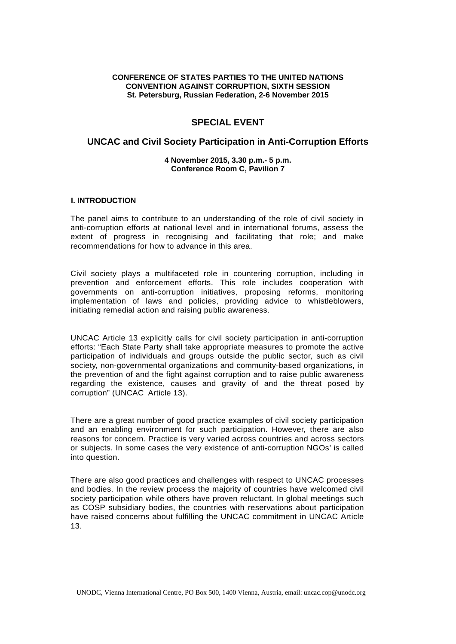#### **CONFERENCE OF STATES PARTIES TO THE UNITED NATIONS CONVENTION AGAINST CORRUPTION, SIXTH SESSION St. Petersburg, Russian Federation, 2-6 November 2015**

# **SPECIAL EVENT**

# **UNCAC and Civil Society Participation in Anti-Corruption Efforts**

#### **4 November 2015, 3.30 p.m.- 5 p.m. Conference Room C, Pavilion 7**

#### **I. INTRODUCTION**

The panel aims to contribute to an understanding of the role of civil society in anti-corruption efforts at national level and in international forums, assess the extent of progress in recognising and facilitating that role; and make recommendations for how to advance in this area.

Civil society plays a multifaceted role in countering corruption, including in prevention and enforcement efforts. This role includes cooperation with governments on anti-corruption initiatives, proposing reforms, monitoring implementation of laws and policies, providing advice to whistleblowers, initiating remedial action and raising public awareness.

UNCAC Article 13 explicitly calls for civil society participation in anti-corruption efforts: "Each State Party shall take appropriate measures to promote the active participation of individuals and groups outside the public sector, such as civil society, non-governmental organizations and community-based organizations, in the prevention of and the fight against corruption and to raise public awareness regarding the existence, causes and gravity of and the threat posed by corruption" (UNCAC Article 13).

There are a great number of good practice examples of civil society participation and an enabling environment for such participation. However, there are also reasons for concern. Practice is very varied across countries and across sectors or subjects. In some cases the very existence of anti-corruption NGOs' is called into question.

There are also good practices and challenges with respect to UNCAC processes and bodies. In the review process the majority of countries have welcomed civil society participation while others have proven reluctant. In global meetings such as COSP subsidiary bodies, the countries with reservations about participation have raised concerns about fulfilling the UNCAC commitment in UNCAC Article 13.